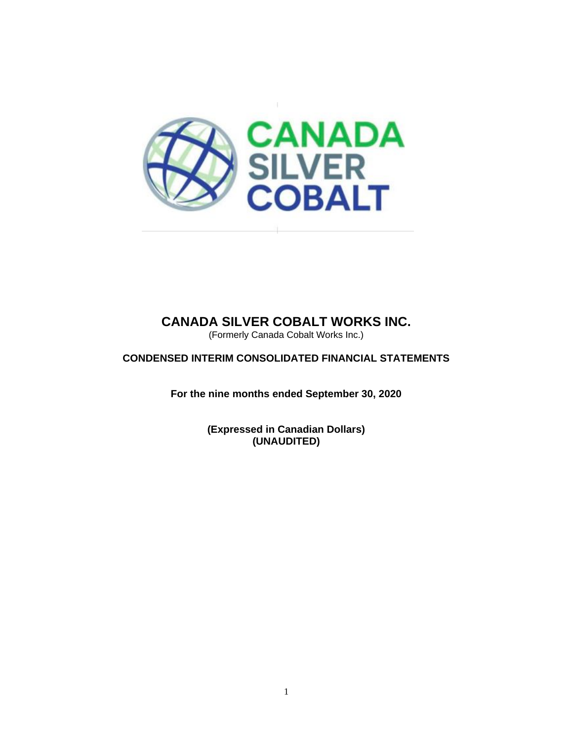

(Formerly Canada Cobalt Works Inc.)

**CONDENSED INTERIM CONSOLIDATED FINANCIAL STATEMENTS**

**For the nine months ended September 30, 2020**

**(Expressed in Canadian Dollars) (UNAUDITED)**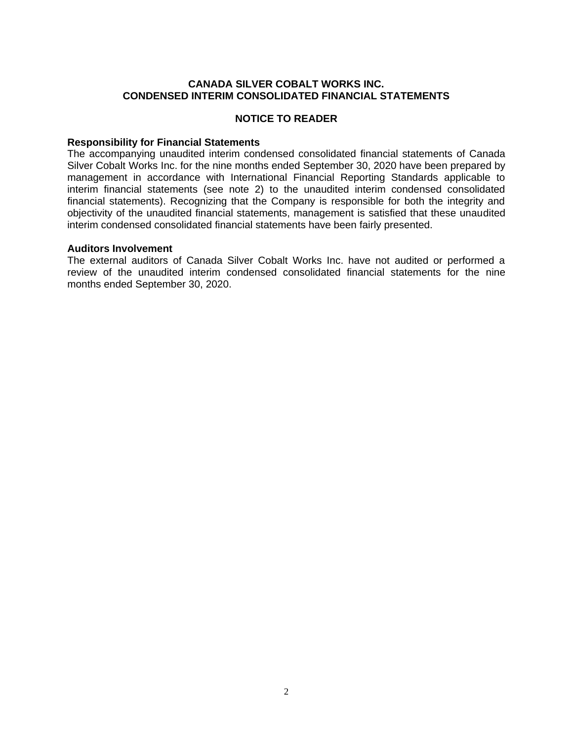#### **CANADA SILVER COBALT WORKS INC. CONDENSED INTERIM CONSOLIDATED FINANCIAL STATEMENTS**

### **NOTICE TO READER**

#### **Responsibility for Financial Statements**

The accompanying unaudited interim condensed consolidated financial statements of Canada Silver Cobalt Works Inc. for the nine months ended September 30, 2020 have been prepared by management in accordance with International Financial Reporting Standards applicable to interim financial statements (see note 2) to the unaudited interim condensed consolidated financial statements). Recognizing that the Company is responsible for both the integrity and objectivity of the unaudited financial statements, management is satisfied that these unaudited interim condensed consolidated financial statements have been fairly presented.

#### **Auditors Involvement**

The external auditors of Canada Silver Cobalt Works Inc. have not audited or performed a review of the unaudited interim condensed consolidated financial statements for the nine months ended September 30, 2020.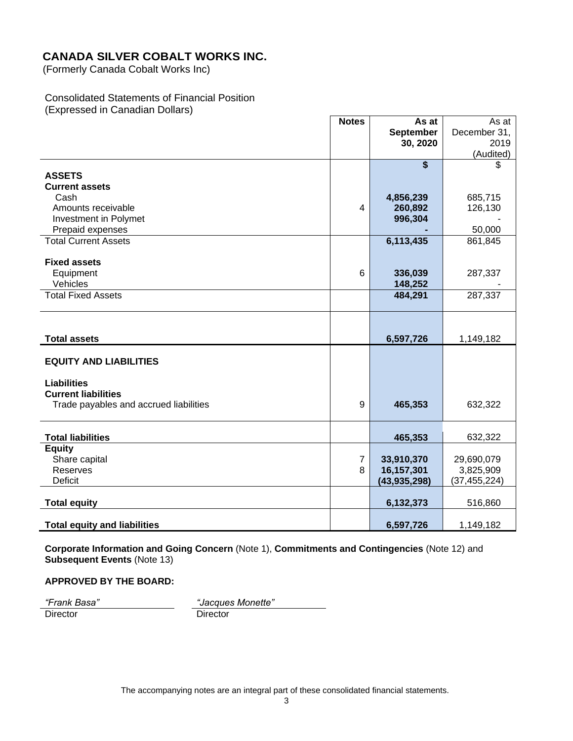(Formerly Canada Cobalt Works Inc)

### Consolidated Statements of Financial Position (Expressed in Canadian Dollars)

|                                        | <b>Notes</b>   | As at                   | As at          |
|----------------------------------------|----------------|-------------------------|----------------|
|                                        |                | September               | December 31,   |
|                                        |                | 30, 2020                | 2019           |
|                                        |                |                         | (Audited)      |
|                                        |                | $\overline{\mathbf{s}}$ | \$             |
| <b>ASSETS</b>                          |                |                         |                |
| <b>Current assets</b>                  |                |                         |                |
| Cash                                   |                | 4,856,239               | 685,715        |
| Amounts receivable                     | 4              | 260,892                 | 126,130        |
| Investment in Polymet                  |                | 996,304                 |                |
| Prepaid expenses                       |                |                         | 50,000         |
| <b>Total Current Assets</b>            |                | 6,113,435               | 861,845        |
|                                        |                |                         |                |
| <b>Fixed assets</b>                    |                |                         |                |
| Equipment                              | 6              | 336,039                 | 287,337        |
| Vehicles                               |                | 148,252                 |                |
| <b>Total Fixed Assets</b>              |                | 484,291                 | 287,337        |
|                                        |                |                         |                |
|                                        |                |                         |                |
|                                        |                |                         |                |
| <b>Total assets</b>                    |                | 6,597,726               | 1,149,182      |
|                                        |                |                         |                |
| <b>EQUITY AND LIABILITIES</b>          |                |                         |                |
|                                        |                |                         |                |
| <b>Liabilities</b>                     |                |                         |                |
| <b>Current liabilities</b>             |                |                         |                |
|                                        | 9              | 465,353                 | 632,322        |
| Trade payables and accrued liabilities |                |                         |                |
|                                        |                |                         |                |
| <b>Total liabilities</b>               |                | 465,353                 | 632,322        |
| Equity                                 |                |                         |                |
| Share capital                          | $\overline{7}$ | 33,910,370              | 29,690,079     |
| Reserves                               | 8              | 16,157,301              | 3,825,909      |
| <b>Deficit</b>                         |                | (43, 935, 298)          | (37, 455, 224) |
|                                        |                |                         |                |
| <b>Total equity</b>                    |                | 6,132,373               | 516,860        |
|                                        |                |                         |                |
| <b>Total equity and liabilities</b>    |                | 6,597,726               | 1,149,182      |

**Corporate Information and Going Concern** (Note 1), **Commitments and Contingencies** (Note 12) and **Subsequent Events** (Note 13)

#### **APPROVED BY THE BOARD:**

Director

*"Frank Basa" "Jacques Monette"*

The accompanying notes are an integral part of these consolidated financial statements.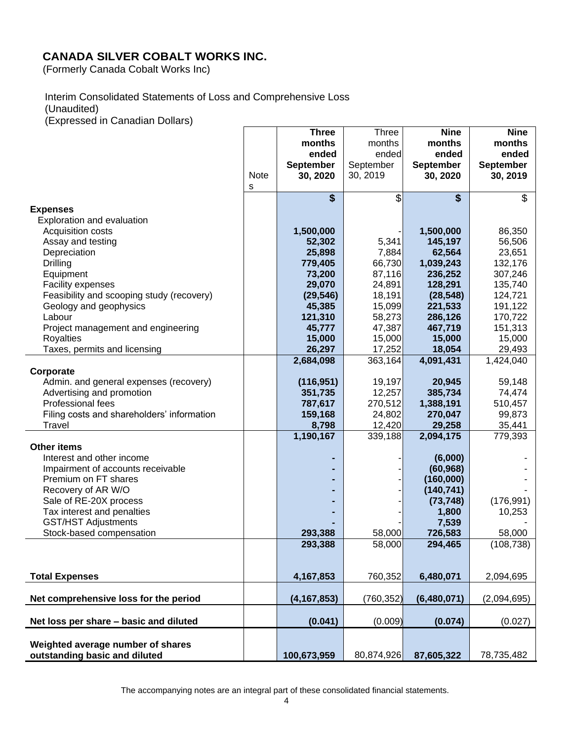(Formerly Canada Cobalt Works Inc)

## Interim Consolidated Statements of Loss and Comprehensive Loss

(Unaudited)

(Expressed in Canadian Dollars)

|                                                     |             | <b>Three</b>       | <b>Three</b> | <b>Nine</b>      | <b>Nine</b>        |
|-----------------------------------------------------|-------------|--------------------|--------------|------------------|--------------------|
|                                                     |             | months             | months       | months           | months             |
|                                                     |             | ended              | ended        | ended            | ended              |
|                                                     |             | <b>September</b>   | September    | <b>September</b> | September          |
|                                                     | <b>Note</b> | 30, 2020           | 30, 2019     | 30, 2020         | 30, 2019           |
|                                                     | s           |                    |              |                  |                    |
|                                                     |             | \$                 | \$           | \$               | \$                 |
| <b>Expenses</b>                                     |             |                    |              |                  |                    |
| Exploration and evaluation                          |             |                    |              |                  |                    |
| Acquisition costs                                   |             | 1,500,000          |              | 1,500,000        | 86,350             |
| Assay and testing                                   |             | 52,302             | 5,341        | 145,197          | 56,506             |
| Depreciation                                        |             | 25,898             | 7,884        | 62,564           | 23,651             |
| Drilling                                            |             | 779,405            | 66,730       | 1,039,243        | 132,176            |
| Equipment                                           |             | 73,200             | 87,116       | 236,252          | 307,246            |
| Facility expenses                                   |             | 29,070             | 24,891       | 128,291          | 135,740            |
| Feasibility and scooping study (recovery)           |             | (29, 546)          | 18,191       | (28, 548)        | 124,721            |
| Geology and geophysics                              |             | 45,385             | 15,099       | 221,533          | 191,122            |
| Labour                                              |             | 121,310            | 58,273       | 286,126          | 170,722<br>151,313 |
| Project management and engineering                  |             | 45,777             | 47,387       | 467,719          |                    |
| <b>Royalties</b>                                    |             | 15,000             | 15,000       | 15,000           | 15,000             |
| Taxes, permits and licensing                        |             | 26,297             | 17,252       | 18,054           | 29,493             |
|                                                     |             | 2,684,098          | 363,164      | 4,091,431        | 1,424,040          |
| Corporate<br>Admin. and general expenses (recovery) |             | (116, 951)         | 19,197       | 20,945           | 59,148             |
| Advertising and promotion                           |             |                    | 12,257       | 385,734          | 74,474             |
| Professional fees                                   |             | 351,735<br>787,617 | 270,512      | 1,388,191        | 510,457            |
| Filing costs and shareholders' information          |             | 159,168            | 24,802       | 270,047          | 99,873             |
| Travel                                              |             | 8,798              | 12,420       | 29,258           | 35,441             |
|                                                     |             | 1,190,167          | 339,188      | 2,094,175        | 779,393            |
| <b>Other items</b>                                  |             |                    |              |                  |                    |
| Interest and other income                           |             |                    |              | (6,000)          |                    |
| Impairment of accounts receivable                   |             |                    |              | (60, 968)        |                    |
| Premium on FT shares                                |             |                    |              | (160,000)        |                    |
| Recovery of AR W/O                                  |             |                    |              | (140, 741)       |                    |
| Sale of RE-20X process                              |             |                    |              | (73, 748)        | (176, 991)         |
| Tax interest and penalties                          |             |                    |              | 1,800            | 10,253             |
| <b>GST/HST Adjustments</b>                          |             |                    |              | 7,539            |                    |
| Stock-based compensation                            |             | 293,388            | 58,000       | 726,583          | 58,000             |
|                                                     |             | 293,388            | 58,000       | 294,465          | (108, 738)         |
|                                                     |             |                    |              |                  |                    |
|                                                     |             |                    |              |                  |                    |
| <b>Total Expenses</b>                               |             | 4,167,853          | 760,352      | 6,480,071        | 2,094,695          |
|                                                     |             |                    |              |                  |                    |
| Net comprehensive loss for the period               |             | (4, 167, 853)      | (760, 352)   | (6,480,071)      | (2,094,695)        |
|                                                     |             |                    |              |                  |                    |
| Net loss per share - basic and diluted              |             | (0.041)            | (0.009)      | (0.074)          | (0.027)            |
|                                                     |             |                    |              |                  |                    |
| Weighted average number of shares                   |             |                    |              |                  |                    |
| outstanding basic and diluted                       |             | 100,673,959        | 80,874,926   | 87,605,322       | 78,735,482         |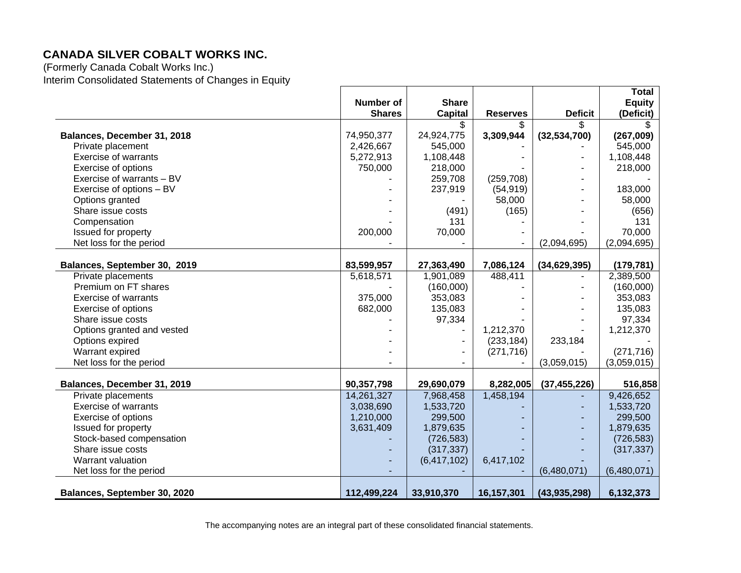(Formerly Canada Cobalt Works Inc.) Interim Consolidated Statements of Changes in Equity

|                              |                  |                |                 |                | Total         |
|------------------------------|------------------|----------------|-----------------|----------------|---------------|
|                              | <b>Number of</b> | <b>Share</b>   |                 |                | <b>Equity</b> |
|                              | <b>Shares</b>    | <b>Capital</b> | <b>Reserves</b> | <b>Deficit</b> | (Deficit)     |
|                              |                  | \$.            | \$.             | \$.            | Ж.            |
| Balances, December 31, 2018  | 74,950,377       | 24,924,775     | 3,309,944       | (32,534,700)   | (267,009)     |
| Private placement            | 2,426,667        | 545,000        |                 |                | 545,000       |
| <b>Exercise of warrants</b>  | 5,272,913        | 1,108,448      |                 |                | 1,108,448     |
| Exercise of options          | 750,000          | 218,000        |                 |                | 218,000       |
| Exercise of warrants - BV    |                  | 259,708        | (259, 708)      |                |               |
| Exercise of options - BV     |                  | 237,919        | (54, 919)       |                | 183,000       |
| Options granted              |                  |                | 58,000          |                | 58,000        |
| Share issue costs            |                  | (491)          | (165)           |                | (656)         |
| Compensation                 |                  | 131            |                 |                | 131           |
| Issued for property          | 200,000          | 70,000         |                 |                | 70,000        |
| Net loss for the period      |                  |                |                 | (2,094,695)    | (2,094,695)   |
|                              |                  |                |                 |                |               |
| Balances, September 30, 2019 | 83,599,957       | 27,363,490     | 7,086,124       | (34, 629, 395) | (179, 781)    |
| Private placements           | 5,618,571        | 1,901,089      | 488,411         |                | 2,389,500     |
| Premium on FT shares         |                  | (160,000)      |                 |                | (160,000)     |
| <b>Exercise of warrants</b>  | 375,000          | 353,083        |                 |                | 353,083       |
| Exercise of options          | 682,000          | 135,083        |                 |                | 135,083       |
| Share issue costs            |                  | 97,334         |                 |                | 97,334        |
| Options granted and vested   |                  |                | 1,212,370       |                | 1,212,370     |
| Options expired              |                  |                | (233, 184)      | 233,184        |               |
| Warrant expired              |                  |                | (271, 716)      |                | (271, 716)    |
| Net loss for the period      |                  |                |                 | (3,059,015)    | (3,059,015)   |
|                              |                  |                |                 |                |               |
| Balances, December 31, 2019  | 90,357,798       | 29,690,079     | 8,282,005       | (37, 455, 226) | 516,858       |
| Private placements           | 14,261,327       | 7,968,458      | 1,458,194       |                | 9,426,652     |
| <b>Exercise of warrants</b>  | 3,038,690        | 1,533,720      |                 |                | 1,533,720     |
| Exercise of options          | 1,210,000        | 299,500        |                 |                | 299,500       |
| Issued for property          | 3,631,409        | 1,879,635      |                 |                | 1,879,635     |
| Stock-based compensation     |                  | (726, 583)     |                 |                | (726, 583)    |
| Share issue costs            |                  | (317, 337)     |                 |                | (317, 337)    |
| Warrant valuation            |                  | (6,417,102)    | 6,417,102       |                |               |
| Net loss for the period      |                  |                |                 | (6,480,071)    | (6,480,071)   |
|                              |                  |                |                 |                |               |
| Balances, September 30, 2020 | 112,499,224      | 33,910,370     | 16,157,301      | (43, 935, 298) | 6,132,373     |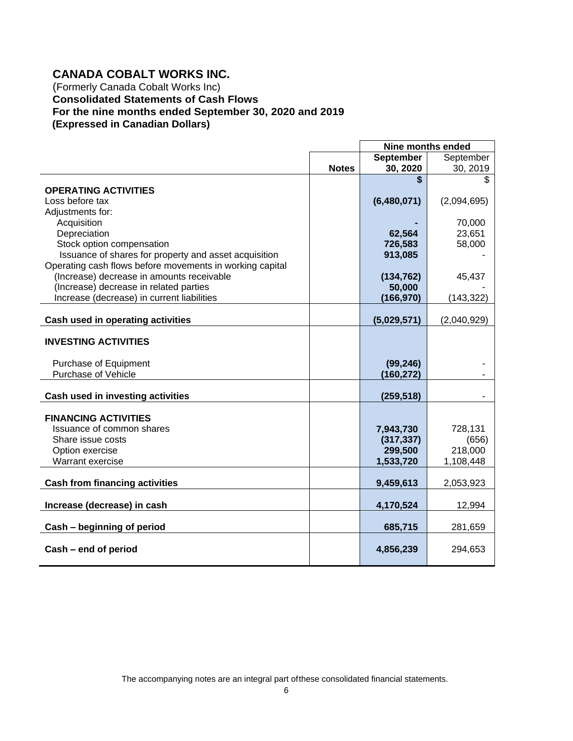## **CANADA COBALT WORKS INC.**

(Formerly Canada Cobalt Works Inc) **Consolidated Statements of Cash Flows For the nine months ended September 30, 2020 and 2019 (Expressed in Canadian Dollars)**

|                                                                                                       |              | Nine months ended    |             |
|-------------------------------------------------------------------------------------------------------|--------------|----------------------|-------------|
|                                                                                                       |              | <b>September</b>     | September   |
|                                                                                                       | <b>Notes</b> | 30, 2020             | 30, 2019    |
|                                                                                                       |              | \$                   | \$          |
| <b>OPERATING ACTIVITIES</b>                                                                           |              |                      |             |
| Loss before tax                                                                                       |              | (6,480,071)          | (2,094,695) |
| Adjustments for:                                                                                      |              |                      |             |
| Acquisition                                                                                           |              |                      | 70,000      |
| Depreciation                                                                                          |              | 62,564               | 23,651      |
| Stock option compensation                                                                             |              | 726,583              | 58,000      |
| Issuance of shares for property and asset acquisition                                                 |              | 913,085              |             |
| Operating cash flows before movements in working capital<br>(Increase) decrease in amounts receivable |              |                      |             |
| (Increase) decrease in related parties                                                                |              | (134, 762)<br>50,000 | 45,437      |
| Increase (decrease) in current liabilities                                                            |              | (166, 970)           | (143, 322)  |
|                                                                                                       |              |                      |             |
| Cash used in operating activities                                                                     |              | (5,029,571)          | (2,040,929) |
| <b>INVESTING ACTIVITIES</b>                                                                           |              |                      |             |
| Purchase of Equipment                                                                                 |              | (99, 246)            |             |
| Purchase of Vehicle                                                                                   |              | (160, 272)           |             |
|                                                                                                       |              |                      |             |
| Cash used in investing activities                                                                     |              | (259, 518)           |             |
| <b>FINANCING ACTIVITIES</b>                                                                           |              |                      |             |
| Issuance of common shares                                                                             |              | 7,943,730            | 728,131     |
| Share issue costs                                                                                     |              | (317, 337)           | (656)       |
| Option exercise                                                                                       |              | 299,500              | 218,000     |
| Warrant exercise                                                                                      |              | 1,533,720            | 1,108,448   |
| <b>Cash from financing activities</b>                                                                 |              | 9,459,613            | 2,053,923   |
|                                                                                                       |              |                      |             |
| Increase (decrease) in cash                                                                           |              | 4,170,524            | 12,994      |
| Cash - beginning of period                                                                            |              | 685,715              | 281,659     |
| Cash - end of period                                                                                  |              | 4,856,239            | 294,653     |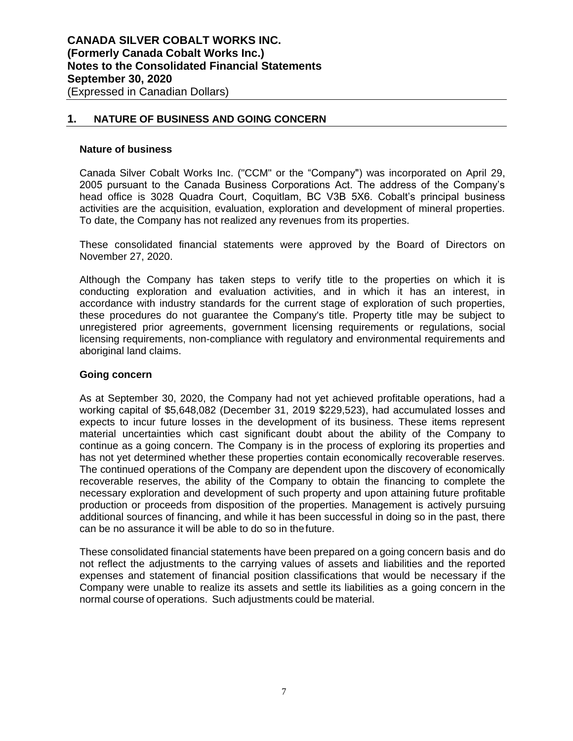## **1. NATURE OF BUSINESS AND GOING CONCERN**

#### **Nature of business**

Canada Silver Cobalt Works Inc. ("CCM" or the "Company") was incorporated on April 29, 2005 pursuant to the Canada Business Corporations Act. The address of the Company's head office is 3028 Quadra Court, Coquitlam, BC V3B 5X6. Cobalt's principal business activities are the acquisition, evaluation, exploration and development of mineral properties. To date, the Company has not realized any revenues from its properties.

These consolidated financial statements were approved by the Board of Directors on November 27, 2020.

Although the Company has taken steps to verify title to the properties on which it is conducting exploration and evaluation activities, and in which it has an interest, in accordance with industry standards for the current stage of exploration of such properties, these procedures do not guarantee the Company's title. Property title may be subject to unregistered prior agreements, government licensing requirements or regulations, social licensing requirements, non-compliance with regulatory and environmental requirements and aboriginal land claims.

#### **Going concern**

As at September 30, 2020, the Company had not yet achieved profitable operations, had a working capital of \$5,648,082 (December 31, 2019 \$229,523), had accumulated losses and expects to incur future losses in the development of its business. These items represent material uncertainties which cast significant doubt about the ability of the Company to continue as a going concern. The Company is in the process of exploring its properties and has not yet determined whether these properties contain economically recoverable reserves. The continued operations of the Company are dependent upon the discovery of economically recoverable reserves, the ability of the Company to obtain the financing to complete the necessary exploration and development of such property and upon attaining future profitable production or proceeds from disposition of the properties. Management is actively pursuing additional sources of financing, and while it has been successful in doing so in the past, there can be no assurance it will be able to do so in thefuture.

These consolidated financial statements have been prepared on a going concern basis and do not reflect the adjustments to the carrying values of assets and liabilities and the reported expenses and statement of financial position classifications that would be necessary if the Company were unable to realize its assets and settle its liabilities as a going concern in the normal course of operations. Such adjustments could be material.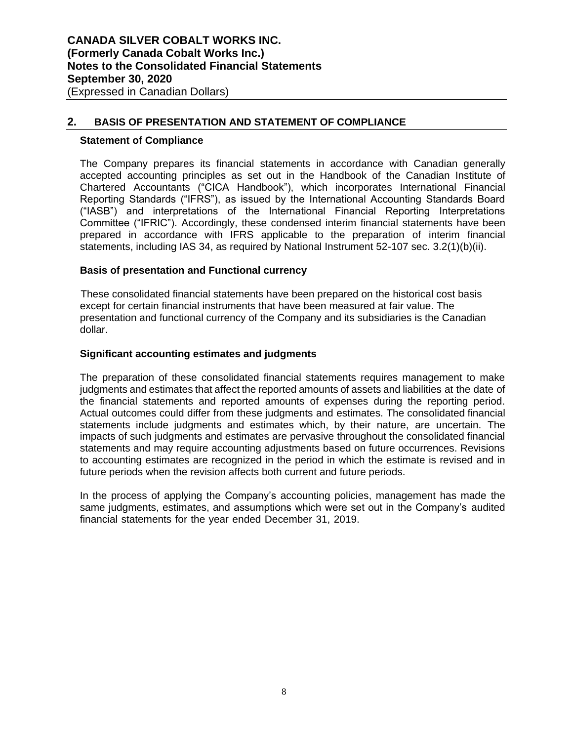## **2. BASIS OF PRESENTATION AND STATEMENT OF COMPLIANCE**

#### **Statement of Compliance**

The Company prepares its financial statements in accordance with Canadian generally accepted accounting principles as set out in the Handbook of the Canadian Institute of Chartered Accountants ("CICA Handbook"), which incorporates International Financial Reporting Standards ("IFRS"), as issued by the International Accounting Standards Board ("IASB") and interpretations of the International Financial Reporting Interpretations Committee ("IFRIC"). Accordingly, these condensed interim financial statements have been prepared in accordance with IFRS applicable to the preparation of interim financial statements, including IAS 34, as required by National Instrument 52-107 sec. 3.2(1)(b)(ii).

#### **Basis of presentation and Functional currency**

These consolidated financial statements have been prepared on the historical cost basis except for certain financial instruments that have been measured at fair value. The presentation and functional currency of the Company and its subsidiaries is the Canadian dollar.

#### **Significant accounting estimates and judgments**

The preparation of these consolidated financial statements requires management to make judgments and estimates that affect the reported amounts of assets and liabilities at the date of the financial statements and reported amounts of expenses during the reporting period. Actual outcomes could differ from these judgments and estimates. The consolidated financial statements include judgments and estimates which, by their nature, are uncertain. The impacts of such judgments and estimates are pervasive throughout the consolidated financial statements and may require accounting adjustments based on future occurrences. Revisions to accounting estimates are recognized in the period in which the estimate is revised and in future periods when the revision affects both current and future periods.

In the process of applying the Company's accounting policies, management has made the same judgments, estimates, and assumptions which were set out in the Company's audited financial statements for the year ended December 31, 2019.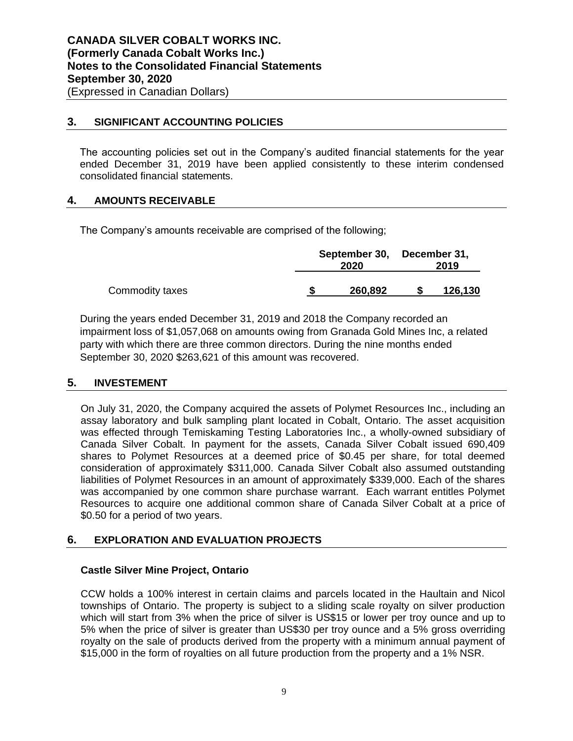## **3. SIGNIFICANT ACCOUNTING POLICIES**

The accounting policies set out in the Company's audited financial statements for the year ended December 31, 2019 have been applied consistently to these interim condensed consolidated financial statements.

## **4. AMOUNTS RECEIVABLE**

The Company's amounts receivable are comprised of the following;

|                 | September 30, December 31,<br>2020 |  | 2019    |  |
|-----------------|------------------------------------|--|---------|--|
| Commodity taxes | 260,892                            |  | 126,130 |  |

During the years ended December 31, 2019 and 2018 the Company recorded an impairment loss of \$1,057,068 on amounts owing from Granada Gold Mines Inc, a related party with which there are three common directors. During the nine months ended September 30, 2020 \$263,621 of this amount was recovered.

## **5. INVESTEMENT**

On July 31, 2020, the Company acquired the assets of Polymet Resources Inc., including an assay laboratory and bulk sampling plant located in Cobalt, Ontario. The asset acquisition was effected through Temiskaming Testing Laboratories Inc., a wholly-owned subsidiary of Canada Silver Cobalt. In payment for the assets, Canada Silver Cobalt issued 690,409 shares to Polymet Resources at a deemed price of \$0.45 per share, for total deemed consideration of approximately \$311,000. Canada Silver Cobalt also assumed outstanding liabilities of Polymet Resources in an amount of approximately \$339,000. Each of the shares was accompanied by one common share purchase warrant. Each warrant entitles Polymet Resources to acquire one additional common share of Canada Silver Cobalt at a price of \$0.50 for a period of two years.

## **6. EXPLORATION AND EVALUATION PROJECTS**

## **Castle Silver Mine Project, Ontario**

CCW holds a 100% interest in certain claims and parcels located in the Haultain and Nicol townships of Ontario. The property is subject to a sliding scale royalty on silver production which will start from 3% when the price of silver is US\$15 or lower per troy ounce and up to 5% when the price of silver is greater than US\$30 per troy ounce and a 5% gross overriding royalty on the sale of products derived from the property with a minimum annual payment of \$15,000 in the form of royalties on all future production from the property and a 1% NSR.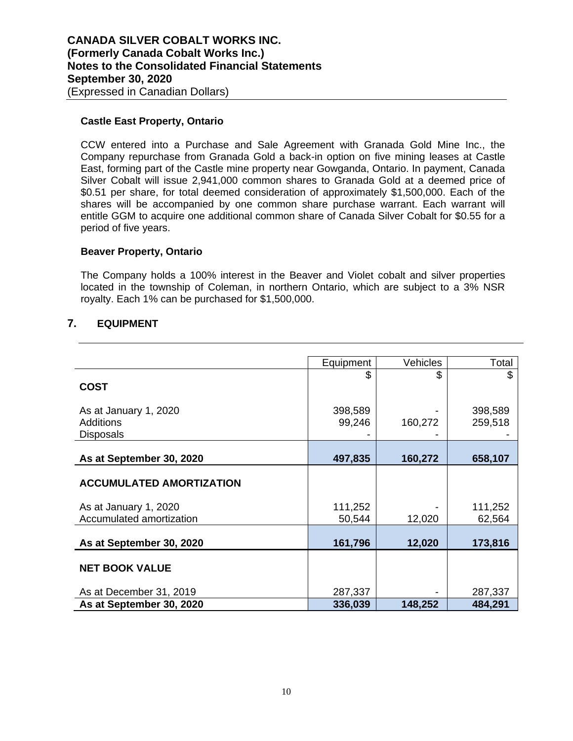### **Castle East Property, Ontario**

CCW entered into a Purchase and Sale Agreement with Granada Gold Mine Inc., the Company repurchase from Granada Gold a back-in option on five mining leases at Castle East, forming part of the Castle mine property near Gowganda, Ontario. In payment, Canada Silver Cobalt will issue 2,941,000 common shares to Granada Gold at a deemed price of \$0.51 per share, for total deemed consideration of approximately \$1,500,000. Each of the shares will be accompanied by one common share purchase warrant. Each warrant will entitle GGM to acquire one additional common share of Canada Silver Cobalt for \$0.55 for a period of five years.

#### **Beaver Property, Ontario**

The Company holds a 100% interest in the Beaver and Violet cobalt and silver properties located in the township of Coleman, in northern Ontario, which are subject to a 3% NSR royalty. Each 1% can be purchased for \$1,500,000.

## **7. EQUIPMENT**

|                                 | Equipment | <b>Vehicles</b> | Total   |
|---------------------------------|-----------|-----------------|---------|
|                                 | \$        | \$              | \$      |
| <b>COST</b>                     |           |                 |         |
|                                 |           |                 |         |
| As at January 1, 2020           | 398,589   |                 | 398,589 |
| Additions                       | 99,246    | 160,272         | 259,518 |
| <b>Disposals</b>                |           |                 |         |
|                                 |           |                 |         |
| As at September 30, 2020        | 497,835   | 160,272         | 658,107 |
|                                 |           |                 |         |
| <b>ACCUMULATED AMORTIZATION</b> |           |                 |         |
| As at January 1, 2020           | 111,252   |                 | 111,252 |
| Accumulated amortization        | 50,544    | 12,020          | 62,564  |
|                                 |           |                 |         |
| As at September 30, 2020        | 161,796   | 12,020          | 173,816 |
|                                 |           |                 |         |
| <b>NET BOOK VALUE</b>           |           |                 |         |
|                                 |           |                 |         |
| As at December 31, 2019         | 287,337   |                 | 287,337 |
| As at September 30, 2020        | 336,039   | 148,252         | 484,291 |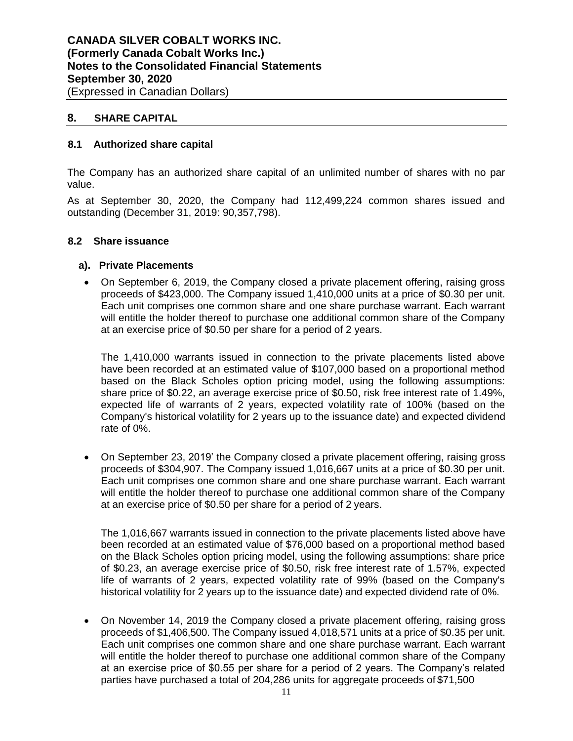## **8. SHARE CAPITAL**

## **8.1 Authorized share capital**

The Company has an authorized share capital of an unlimited number of shares with no par value.

As at September 30, 2020, the Company had 112,499,224 common shares issued and outstanding (December 31, 2019: 90,357,798).

#### **8.2 Share issuance**

#### **a). Private Placements**

 On September 6, 2019, the Company closed a private placement offering, raising gross proceeds of \$423,000. The Company issued 1,410,000 units at a price of \$0.30 per unit. Each unit comprises one common share and one share purchase warrant. Each warrant will entitle the holder thereof to purchase one additional common share of the Company at an exercise price of \$0.50 per share for a period of 2 years.

The 1,410,000 warrants issued in connection to the private placements listed above have been recorded at an estimated value of \$107,000 based on a proportional method based on the Black Scholes option pricing model, using the following assumptions: share price of \$0.22, an average exercise price of \$0.50, risk free interest rate of 1.49%, expected life of warrants of 2 years, expected volatility rate of 100% (based on the Company's historical volatility for 2 years up to the issuance date) and expected dividend rate of 0%.

 On September 23, 2019' the Company closed a private placement offering, raising gross proceeds of \$304,907. The Company issued 1,016,667 units at a price of \$0.30 per unit. Each unit comprises one common share and one share purchase warrant. Each warrant will entitle the holder thereof to purchase one additional common share of the Company at an exercise price of \$0.50 per share for a period of 2 years.

The 1,016,667 warrants issued in connection to the private placements listed above have been recorded at an estimated value of \$76,000 based on a proportional method based on the Black Scholes option pricing model, using the following assumptions: share price of \$0.23, an average exercise price of \$0.50, risk free interest rate of 1.57%, expected life of warrants of 2 years, expected volatility rate of 99% (based on the Company's historical volatility for 2 years up to the issuance date) and expected dividend rate of 0%.

 On November 14, 2019 the Company closed a private placement offering, raising gross proceeds of \$1,406,500. The Company issued 4,018,571 units at a price of \$0.35 per unit. Each unit comprises one common share and one share purchase warrant. Each warrant will entitle the holder thereof to purchase one additional common share of the Company at an exercise price of \$0.55 per share for a period of 2 years. The Company's related parties have purchased a total of 204,286 units for aggregate proceeds of \$71,500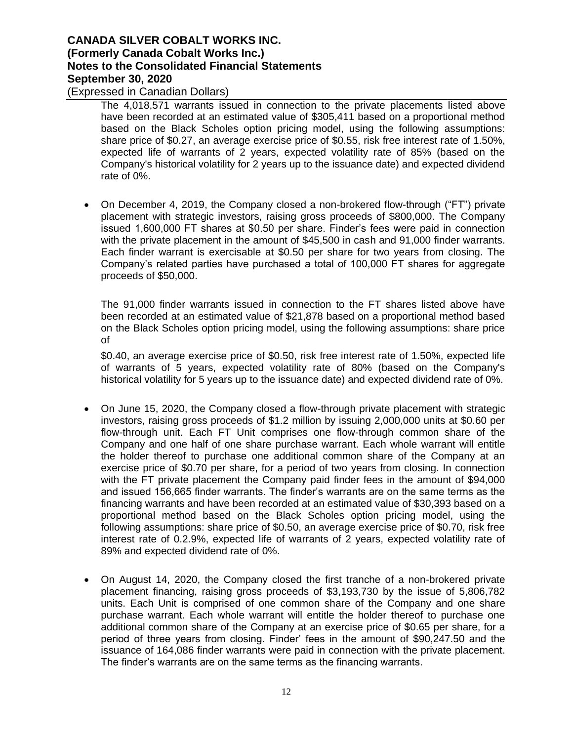(Expressed in Canadian Dollars)

The 4,018,571 warrants issued in connection to the private placements listed above have been recorded at an estimated value of \$305,411 based on a proportional method based on the Black Scholes option pricing model, using the following assumptions: share price of \$0.27, an average exercise price of \$0.55, risk free interest rate of 1.50%, expected life of warrants of 2 years, expected volatility rate of 85% (based on the Company's historical volatility for 2 years up to the issuance date) and expected dividend rate of 0%.

 On December 4, 2019, the Company closed a non-brokered flow-through ("FT") private placement with strategic investors, raising gross proceeds of \$800,000. The Company issued 1,600,000 FT shares at \$0.50 per share. Finder's fees were paid in connection with the private placement in the amount of \$45,500 in cash and 91,000 finder warrants. Each finder warrant is exercisable at \$0.50 per share for two years from closing. The Company's related parties have purchased a total of 100,000 FT shares for aggregate proceeds of \$50,000.

The 91,000 finder warrants issued in connection to the FT shares listed above have been recorded at an estimated value of \$21,878 based on a proportional method based on the Black Scholes option pricing model, using the following assumptions: share price of

\$0.40, an average exercise price of \$0.50, risk free interest rate of 1.50%, expected life of warrants of 5 years, expected volatility rate of 80% (based on the Company's historical volatility for 5 years up to the issuance date) and expected dividend rate of 0%.

- On June 15, 2020, the Company closed a flow-through private placement with strategic investors, raising gross proceeds of \$1.2 million by issuing 2,000,000 units at \$0.60 per flow-through unit. Each FT Unit comprises one flow-through common share of the Company and one half of one share purchase warrant. Each whole warrant will entitle the holder thereof to purchase one additional common share of the Company at an exercise price of \$0.70 per share, for a period of two years from closing. In connection with the FT private placement the Company paid finder fees in the amount of \$94,000 and issued 156,665 finder warrants. The finder's warrants are on the same terms as the financing warrants and have been recorded at an estimated value of \$30,393 based on a proportional method based on the Black Scholes option pricing model, using the following assumptions: share price of \$0.50, an average exercise price of \$0.70, risk free interest rate of 0.2.9%, expected life of warrants of 2 years, expected volatility rate of 89% and expected dividend rate of 0%.
- On August 14, 2020, the Company closed the first tranche of a non-brokered private placement financing, raising gross proceeds of \$3,193,730 by the issue of 5,806,782 units. Each Unit is comprised of one common share of the Company and one share purchase warrant. Each whole warrant will entitle the holder thereof to purchase one additional common share of the Company at an exercise price of \$0.65 per share, for a period of three years from closing. Finder' fees in the amount of \$90,247.50 and the issuance of 164,086 finder warrants were paid in connection with the private placement. The finder's warrants are on the same terms as the financing warrants.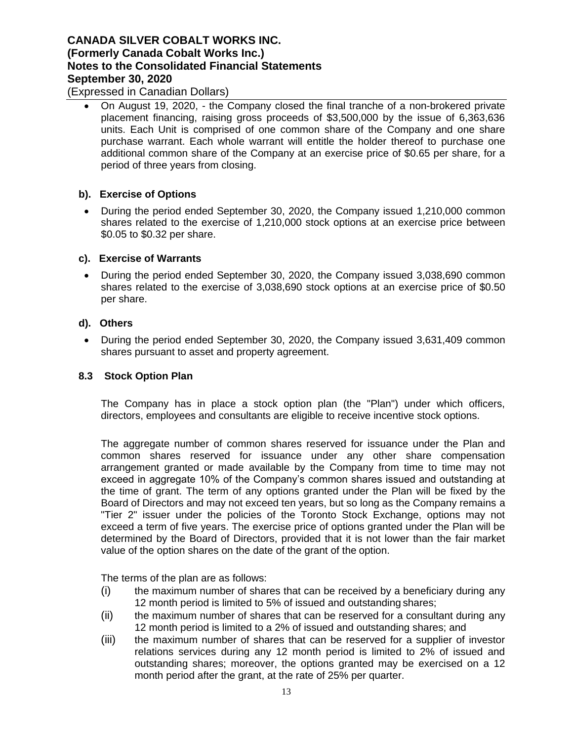(Expressed in Canadian Dollars)

 On August 19, 2020, - the Company closed the final tranche of a non-brokered private placement financing, raising gross proceeds of \$3,500,000 by the issue of 6,363,636 units. Each Unit is comprised of one common share of the Company and one share purchase warrant. Each whole warrant will entitle the holder thereof to purchase one additional common share of the Company at an exercise price of \$0.65 per share, for a period of three years from closing.

### **b). Exercise of Options**

• During the period ended September 30, 2020, the Company issued 1,210,000 common shares related to the exercise of 1,210,000 stock options at an exercise price between \$0.05 to \$0.32 per share.

### **c). Exercise of Warrants**

 During the period ended September 30, 2020, the Company issued 3,038,690 common shares related to the exercise of 3,038,690 stock options at an exercise price of \$0.50 per share.

### **d). Others**

• During the period ended September 30, 2020, the Company issued 3,631,409 common shares pursuant to asset and property agreement.

## **8.3 Stock Option Plan**

The Company has in place a stock option plan (the "Plan") under which officers, directors, employees and consultants are eligible to receive incentive stock options.

The aggregate number of common shares reserved for issuance under the Plan and common shares reserved for issuance under any other share compensation arrangement granted or made available by the Company from time to time may not exceed in aggregate 10% of the Company's common shares issued and outstanding at the time of grant. The term of any options granted under the Plan will be fixed by the Board of Directors and may not exceed ten years, but so long as the Company remains a "Tier 2" issuer under the policies of the Toronto Stock Exchange, options may not exceed a term of five years. The exercise price of options granted under the Plan will be determined by the Board of Directors, provided that it is not lower than the fair market value of the option shares on the date of the grant of the option.

The terms of the plan are as follows:

- (i) the maximum number of shares that can be received by a beneficiary during any 12 month period is limited to 5% of issued and outstanding shares;
- (ii) the maximum number of shares that can be reserved for a consultant during any 12 month period is limited to a 2% of issued and outstanding shares; and
- (iii) the maximum number of shares that can be reserved for a supplier of investor relations services during any 12 month period is limited to 2% of issued and outstanding shares; moreover, the options granted may be exercised on a 12 month period after the grant, at the rate of 25% per quarter.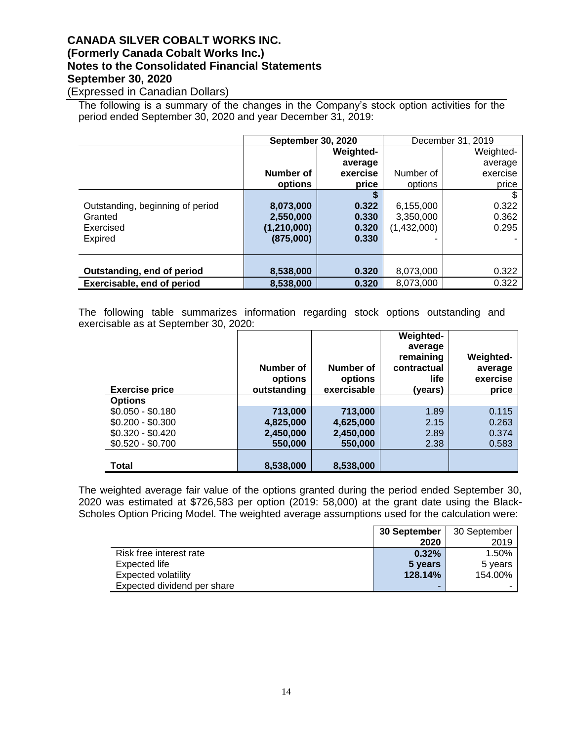(Expressed in Canadian Dollars)

The following is a summary of the changes in the Company's stock option activities for the period ended September 30, 2020 and year December 31, 2019:

|                                  |             | <b>September 30, 2020</b><br>December 31, 2019 |             |           |
|----------------------------------|-------------|------------------------------------------------|-------------|-----------|
|                                  |             | <b>Weighted-</b>                               |             | Weighted- |
|                                  |             | average                                        |             | average   |
|                                  | Number of   | exercise                                       | Number of   | exercise  |
|                                  | options     | price                                          | options     | price     |
|                                  |             | S                                              |             | \$        |
| Outstanding, beginning of period | 8,073,000   | 0.322                                          | 6,155,000   | 0.322     |
| Granted                          | 2,550,000   | 0.330                                          | 3,350,000   | 0.362     |
| Exercised                        | (1,210,000) | 0.320                                          | (1,432,000) | 0.295     |
| Expired                          | (875,000)   | 0.330                                          |             |           |
|                                  |             |                                                |             |           |
|                                  |             |                                                |             |           |
| Outstanding, end of period       | 8,538,000   | 0.320                                          | 8,073,000   | 0.322     |
| Exercisable, end of period       | 8,538,000   | 0.320                                          | 8,073,000   | 0.322     |

The following table summarizes information regarding stock options outstanding and exercisable as at September 30, 2020:

| <b>Exercise price</b> | Number of<br>options<br>outstanding | Number of<br>options<br>exercisable | Weighted-<br>average<br>remaining<br>contractual<br><b>life</b><br>(vears) | Weighted-<br>average<br>exercise<br>price |
|-----------------------|-------------------------------------|-------------------------------------|----------------------------------------------------------------------------|-------------------------------------------|
| <b>Options</b>        |                                     |                                     |                                                                            |                                           |
| $$0.050 - $0.180$     | 713,000                             | 713,000                             | 1.89                                                                       | 0.115                                     |
| $$0.200 - $0.300$     | 4,825,000                           | 4,625,000                           | 2.15                                                                       | 0.263                                     |
| $$0.320 - $0.420$     | 2,450,000                           | 2,450,000                           | 2.89                                                                       | 0.374                                     |
| $$0.520 - $0.700$     | 550,000                             | 550,000                             | 2.38                                                                       | 0.583                                     |
|                       |                                     |                                     |                                                                            |                                           |
| Total                 | 8,538,000                           | 8,538,000                           |                                                                            |                                           |

The weighted average fair value of the options granted during the period ended September 30, 2020 was estimated at \$726,583 per option (2019: 58,000) at the grant date using the Black-Scholes Option Pricing Model. The weighted average assumptions used for the calculation were:

|                             | 30 September | 30 September |
|-----------------------------|--------------|--------------|
|                             | 2020         | 2019         |
| Risk free interest rate     | 0.32%        | 1.50%        |
| Expected life               | 5 years      | 5 years      |
| Expected volatility         | 128.14%      | 154.00%      |
| Expected dividend per share | -            |              |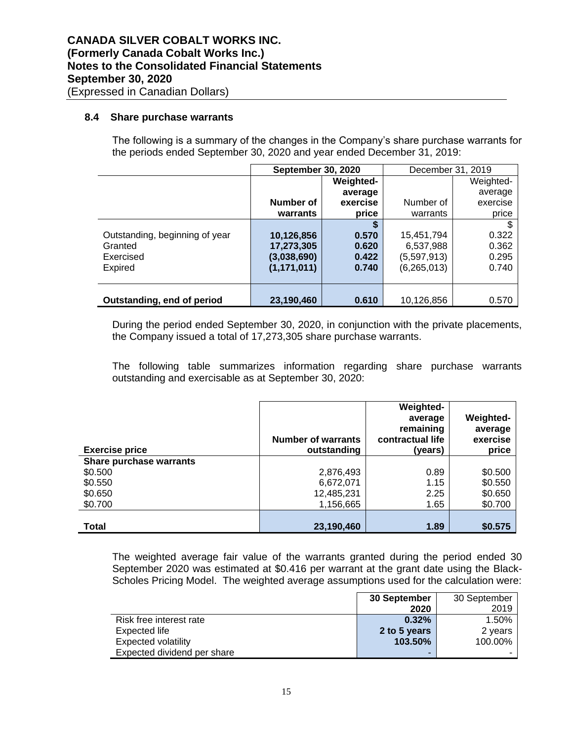#### **8.4 Share purchase warrants**

The following is a summary of the changes in the Company's share purchase warrants for the periods ended September 30, 2020 and year ended December 31, 2019:

|                                | <b>September 30, 2020</b> |           | December 31, 2019 |           |
|--------------------------------|---------------------------|-----------|-------------------|-----------|
|                                |                           | Weighted- |                   | Weighted- |
|                                |                           | average   |                   | average   |
|                                | Number of                 | exercise  | Number of         | exercise  |
|                                | warrants                  | price     | warrants          | price     |
|                                |                           | S         |                   |           |
| Outstanding, beginning of year | 10,126,856                | 0.570     | 15,451,794        | 0.322     |
| Granted                        | 17,273,305                | 0.620     | 6,537,988         | 0.362     |
| Exercised                      | (3,038,690)               | 0.422     | (5,597,913)       | 0.295     |
| Expired                        | (1, 171, 011)             | 0.740     | (6, 265, 013)     | 0.740     |
|                                |                           |           |                   |           |
|                                |                           |           |                   |           |
| Outstanding, end of period     | 23,190,460                | 0.610     | 10.126.856        | 0.570     |

During the period ended September 30, 2020, in conjunction with the private placements, the Company issued a total of 17,273,305 share purchase warrants.

The following table summarizes information regarding share purchase warrants outstanding and exercisable as at September 30, 2020:

| <b>Exercise price</b>   | <b>Number of warrants</b><br>outstanding | <b>Weighted-</b><br>average<br>remaining<br>contractual life<br>(years) | Weighted-<br>average<br>exercise<br>price |
|-------------------------|------------------------------------------|-------------------------------------------------------------------------|-------------------------------------------|
| Share purchase warrants |                                          |                                                                         |                                           |
| \$0.500                 | 2,876,493                                | 0.89                                                                    | \$0.500                                   |
| \$0.550                 | 6,672,071                                | 1.15                                                                    | \$0.550                                   |
| \$0.650                 | 12,485,231                               | 2.25                                                                    | \$0.650                                   |
| \$0.700                 | 1,156,665                                | 1.65                                                                    | \$0.700                                   |
|                         |                                          |                                                                         |                                           |
| <b>Total</b>            | 23,190,460                               | 1.89                                                                    | \$0.575                                   |

The weighted average fair value of the warrants granted during the period ended 30 September 2020 was estimated at \$0.416 per warrant at the grant date using the Black-Scholes Pricing Model. The weighted average assumptions used for the calculation were:

|                             | 30 September | 30 September |
|-----------------------------|--------------|--------------|
|                             | 2020         | 2019         |
| Risk free interest rate     | 0.32%        | 1.50%        |
| Expected life               | 2 to 5 years | 2 years      |
| <b>Expected volatility</b>  | 103.50%      | 100.00%      |
| Expected dividend per share | -            |              |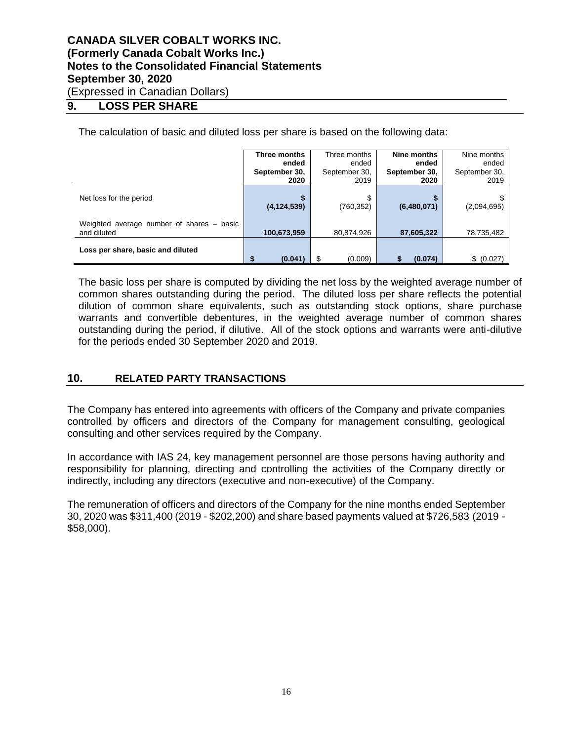## **9. LOSS PER SHARE**

The calculation of basic and diluted loss per share is based on the following data:

|                                           | Three months  | Three months  | Nine months   | Nine months   |
|-------------------------------------------|---------------|---------------|---------------|---------------|
|                                           | ended         | ended         | ended         | ended         |
|                                           | September 30, | September 30, | September 30, | September 30, |
|                                           | 2020          | 2019          | 2020          | 2019          |
|                                           |               |               |               |               |
| Net loss for the period                   |               | S             |               | S.            |
|                                           | (4, 124, 539) | (760, 352)    | (6,480,071)   | (2,094,695)   |
|                                           |               |               |               |               |
| Weighted average number of shares – basic |               |               |               |               |
| and diluted                               | 100,673,959   | 80,874,926    | 87,605,322    | 78,735,482    |
|                                           |               |               |               |               |
| Loss per share, basic and diluted         |               |               |               |               |
|                                           | S<br>(0.041)  | \$<br>(0.009) | (0.074)       | \$ (0.027)    |

The basic loss per share is computed by dividing the net loss by the weighted average number of common shares outstanding during the period. The diluted loss per share reflects the potential dilution of common share equivalents, such as outstanding stock options, share purchase warrants and convertible debentures, in the weighted average number of common shares outstanding during the period, if dilutive. All of the stock options and warrants were anti-dilutive for the periods ended 30 September 2020 and 2019.

## **10. RELATED PARTY TRANSACTIONS**

The Company has entered into agreements with officers of the Company and private companies controlled by officers and directors of the Company for management consulting, geological consulting and other services required by the Company.

In accordance with IAS 24, key management personnel are those persons having authority and responsibility for planning, directing and controlling the activities of the Company directly or indirectly, including any directors (executive and non-executive) of the Company.

The remuneration of officers and directors of the Company for the nine months ended September 30, 2020 was \$311,400 (2019 - \$202,200) and share based payments valued at \$726,583 (2019 - \$58,000).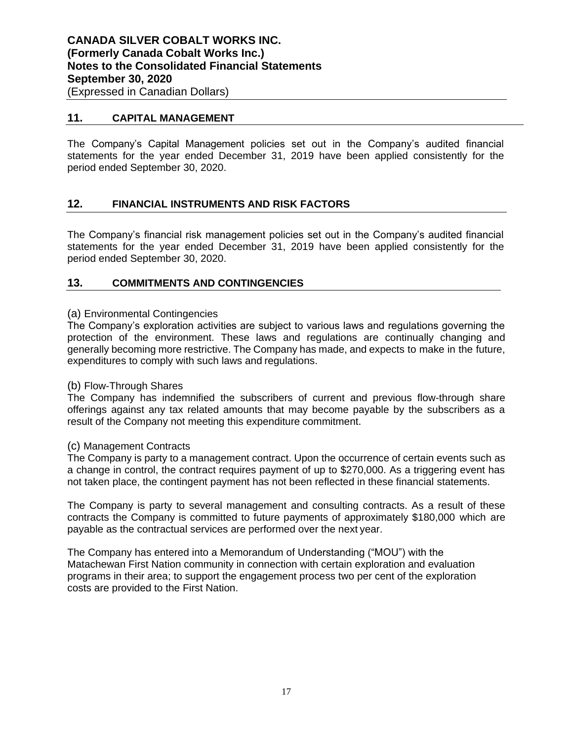## **11. CAPITAL MANAGEMENT**

The Company's Capital Management policies set out in the Company's audited financial statements for the year ended December 31, 2019 have been applied consistently for the period ended September 30, 2020.

## **12. FINANCIAL INSTRUMENTS AND RISK FACTORS**

The Company's financial risk management policies set out in the Company's audited financial statements for the year ended December 31, 2019 have been applied consistently for the period ended September 30, 2020.

### **13. COMMITMENTS AND CONTINGENCIES**

#### (a) Environmental Contingencies

The Company's exploration activities are subject to various laws and regulations governing the protection of the environment. These laws and regulations are continually changing and generally becoming more restrictive. The Company has made, and expects to make in the future, expenditures to comply with such laws and regulations.

#### (b) Flow-Through Shares

The Company has indemnified the subscribers of current and previous flow-through share offerings against any tax related amounts that may become payable by the subscribers as a result of the Company not meeting this expenditure commitment.

#### (c) Management Contracts

The Company is party to a management contract. Upon the occurrence of certain events such as a change in control, the contract requires payment of up to \$270,000. As a triggering event has not taken place, the contingent payment has not been reflected in these financial statements.

The Company is party to several management and consulting contracts. As a result of these contracts the Company is committed to future payments of approximately \$180,000 which are payable as the contractual services are performed over the next year.

The Company has entered into a Memorandum of Understanding ("MOU") with the Matachewan First Nation community in connection with certain exploration and evaluation programs in their area; to support the engagement process two per cent of the exploration costs are provided to the First Nation.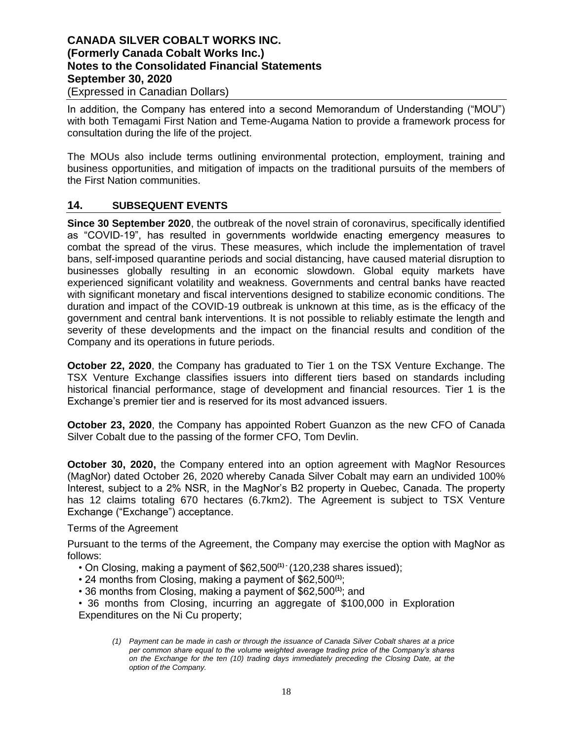## **CANADA SILVER COBALT WORKS INC. (Formerly Canada Cobalt Works Inc.) Notes to the Consolidated Financial Statements September 30, 2020** (Expressed in Canadian Dollars)

In addition, the Company has entered into a second Memorandum of Understanding ("MOU") with both Temagami First Nation and Teme-Augama Nation to provide a framework process for consultation during the life of the project.

The MOUs also include terms outlining environmental protection, employment, training and business opportunities, and mitigation of impacts on the traditional pursuits of the members of the First Nation communities.

## **14. SUBSEQUENT EVENTS**

**Since 30 September 2020**, the outbreak of the novel strain of coronavirus, specifically identified as "COVID-19", has resulted in governments worldwide enacting emergency measures to combat the spread of the virus. These measures, which include the implementation of travel bans, self-imposed quarantine periods and social distancing, have caused material disruption to businesses globally resulting in an economic slowdown. Global equity markets have experienced significant volatility and weakness. Governments and central banks have reacted with significant monetary and fiscal interventions designed to stabilize economic conditions. The duration and impact of the COVID-19 outbreak is unknown at this time, as is the efficacy of the government and central bank interventions. It is not possible to reliably estimate the length and severity of these developments and the impact on the financial results and condition of the Company and its operations in future periods.

**October 22, 2020**, the Company has graduated to Tier 1 on the TSX Venture Exchange. The TSX Venture Exchange classifies issuers into different tiers based on standards including historical financial performance, stage of development and financial resources. Tier 1 is the Exchange's premier tier and is reserved for its most advanced issuers.

**October 23, 2020**, the Company has appointed Robert Guanzon as the new CFO of Canada Silver Cobalt due to the passing of the former CFO, Tom Devlin.

**October 30, 2020,** the Company entered into an option agreement with MagNor Resources (MagNor) dated October 26, 2020 whereby Canada Silver Cobalt may earn an undivided 100% Interest, subject to a 2% NSR, in the MagNor's B2 property in Quebec, Canada. The property has 12 claims totaling 670 hectares (6.7km2). The Agreement is subject to TSX Venture Exchange ("Exchange") acceptance.

## Terms of the Agreement

Pursuant to the terms of the Agreement, the Company may exercise the option with MagNor as follows:

- On Closing, making a payment of \$62,500**(1) -** (120,238 shares issued);
- 24 months from Closing, making a payment of \$62,500**(1)**;
- 36 months from Closing, making a payment of \$62,500**(1)**; and

• 36 months from Closing, incurring an aggregate of \$100,000 in Exploration Expenditures on the Ni Cu property;

*<sup>(1)</sup> Payment can be made in cash or through the issuance of Canada Silver Cobalt shares at a price per common share equal to the volume weighted average trading price of the Company's shares on the Exchange for the ten (10) trading days immediately preceding the Closing Date, at the option of the Company.*